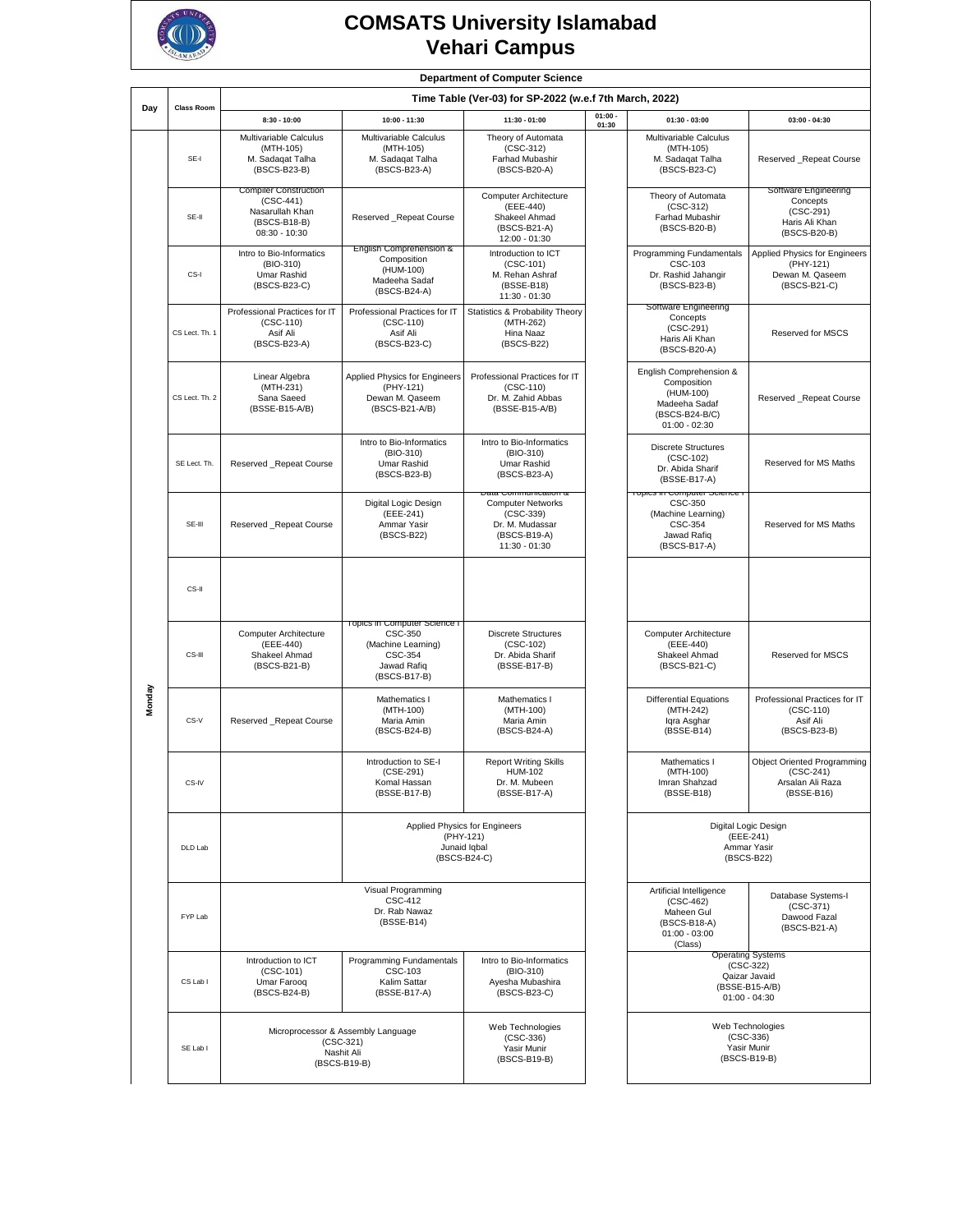

## **COMSATS University Islamabad Vehari Campus**

|        |                | <b>Department of Computer Science</b><br>Time Table (Ver-03) for SP-2022 (w.e.f 7th March, 2022)<br><b>Class Room</b> |                                                                                                         |                                                                                                                     |                    |                                                                                                           |                                                                                               |  |
|--------|----------------|-----------------------------------------------------------------------------------------------------------------------|---------------------------------------------------------------------------------------------------------|---------------------------------------------------------------------------------------------------------------------|--------------------|-----------------------------------------------------------------------------------------------------------|-----------------------------------------------------------------------------------------------|--|
| Day    |                |                                                                                                                       |                                                                                                         |                                                                                                                     |                    |                                                                                                           |                                                                                               |  |
|        |                | $8:30 - 10:00$                                                                                                        | 10:00 - 11:30                                                                                           | 11:30 - 01:00                                                                                                       | $01:00 -$<br>01:30 | $01:30 - 03:00$                                                                                           | $03:00 - 04:30$                                                                               |  |
|        | SE-I           | Multivariable Calculus<br>(MTH-105)<br>M. Sadaqat Talha<br>(BSCS-B23-B)                                               | Multivariable Calculus<br>(MTH-105)<br>M. Sadaqat Talha<br>(BSCS-B23-A)                                 | Theory of Automata<br>$(CSC-312)$<br>Farhad Mubashir<br>(BSCS-B20-A)                                                |                    | Multivariable Calculus<br>(MTH-105)<br>M. Sadaqat Talha<br>(BSCS-B23-C)                                   | Reserved Repeat Course                                                                        |  |
|        | SE-II          | <b>Compiler Construction</b><br>$(CSC-441)$<br>Nasarullah Khan<br>(BSCS-B18-B)<br>08:30 - 10:30                       | Reserved _Repeat Course                                                                                 | Computer Architecture<br>(EEE-440)<br>Shakeel Ahmad<br>(BSCS-B21-A)<br>12:00 - 01:30                                |                    | Theory of Automata<br>$(CSC-312)$<br>Farhad Mubashir<br>(BSCS-B20-B)                                      | Software Engineering<br>Concepts<br>$(CSC-291)$<br>Haris Ali Khan<br>(BSCS-B20-B)             |  |
|        | CS-I           | Intro to Bio-Informatics<br>(BIO-310)<br>Umar Rashid<br>(BSCS-B23-C)                                                  | English Comprehension &<br>Composition<br>(HUM-100)<br>Madeeha Sadaf<br>(BSCS-B24-A)                    | Introduction to ICT<br>$(CSC-101)$<br>M. Rehan Ashraf<br>(BSSE-B18)<br>11:30 - 01:30                                |                    | Programming Fundamentals<br>CSC-103<br>Dr. Rashid Jahangir<br>(BSCS-B23-B)                                | Applied Physics for Engineers<br>(PHY-121)<br>Dewan M. Qaseem<br>(BSCS-B21-C)                 |  |
|        | CS Lect. Th. 1 | Professional Practices for IT<br>$(CSC-110)$<br>Asif Ali<br>(BSCS-B23-A)                                              | Professional Practices for IT<br>$(CSC-110)$<br>Asif Ali<br>(BSCS-B23-C)                                | Statistics & Probability Theory<br>(MTH-262)<br>Hina Naaz<br>(BSCS-B22)                                             |                    | Software Engineering<br>Concepts<br>$(CSC-291)$<br>Haris Ali Khan<br>(BSCS-B20-A)                         | Reserved for MSCS                                                                             |  |
|        | CS Lect. Th. 2 | Linear Algebra<br>(MTH-231)<br>Sana Saeed<br>(BSSE-B15-A/B)                                                           | Applied Physics for Engineers<br>(PHY-121)<br>Dewan M. Qaseem<br>(BSCS-B21-A/B)                         | Professional Practices for IT<br>$(CSC-110)$<br>Dr. M. Zahid Abbas<br>(BSSE-B15-A/B)                                |                    | English Comprehension &<br>Composition<br>(HUM-100)<br>Madeeha Sadaf<br>(BSCS-B24-B/C)<br>$01:00 - 02:30$ | Reserved _Repeat Course                                                                       |  |
|        | SE Lect. Th.   | Reserved _Repeat Course                                                                                               | Intro to Bio-Informatics<br>(BIO-310)<br>Umar Rashid<br>(BSCS-B23-B)                                    | Intro to Bio-Informatics<br>(BIO-310)<br>Umar Rashid<br>(BSCS-B23-A)                                                |                    | <b>Discrete Structures</b><br>(CSC-102)<br>Dr. Abida Sharif<br>(BSSE-B17-A)                               | Reserved for MS Maths                                                                         |  |
|        | SE-III         | Reserved _Repeat Course                                                                                               | Digital Logic Design<br>(EEE-241)<br>Ammar Yasir<br>(BSCS-B22)                                          | Data Communication α<br><b>Computer Networks</b><br>$(CSC-339)$<br>Dr. M. Mudassar<br>(BSCS-B19-A)<br>11:30 - 01:30 |                    | i opics in computer ocience<br>CSC-350<br>(Machine Learning)<br>CSC-354<br>Jawad Rafiq<br>(BSCS-B17-A)    | Reserved for MS Maths                                                                         |  |
|        | CS-II          |                                                                                                                       |                                                                                                         |                                                                                                                     |                    |                                                                                                           |                                                                                               |  |
|        | CS-III         | Computer Architecture<br>(EEE-440)<br>Shakeel Ahmad<br>(BSCS-B21-B)                                                   | Topics in Computer Science I<br>CSC-350<br>(Machine Learning)<br>CSC-354<br>Jawad Rafiq<br>(BSCS-B17-B) | <b>Discrete Structures</b><br>$(CSC-102)$<br>Dr. Abida Sharif<br>(BSSE-B17-B)                                       |                    | Computer Architecture<br>(EEE-440)<br>Shakeel Ahmad<br>(BSCS-B21-C)                                       | Reserved for MSCS                                                                             |  |
| Monday | CS-V           | Reserved Repeat Course                                                                                                | Mathematics I<br>(MTH-100)<br>Maria Amin<br>(BSCS-B24-B)                                                | Mathematics I<br>(MTH-100)<br>Maria Amin<br>(BSCS-B24-A)                                                            |                    | <b>Differential Equations</b><br>(MTH-242)<br>Iqra Asghar<br>(BSSE-B14)                                   | Professional Practices for IT<br>$(CSC-110)$<br>Asif Ali<br>(BSCS-B23-B)                      |  |
|        | CS-IV          |                                                                                                                       | Introduction to SE-I<br>$(CSE-291)$<br>Komal Hassan<br>(BSSE-B17-B)                                     | <b>Report Writing Skills</b><br><b>HUM-102</b><br>Dr. M. Mubeen<br>(BSSE-B17-A)                                     |                    | Mathematics I<br>(MTH-100)<br>Imran Shahzad<br>(BSSE-B18)                                                 | Object Oriented Programming<br>(CSC-241)<br>Arsalan Ali Raza<br>(BSSE-B16)                    |  |
|        | DLD Lab        | Applied Physics for Engineers<br>(PHY-121)<br>Junaid Iqbal<br>(BSCS-B24-C)                                            |                                                                                                         |                                                                                                                     |                    | Digital Logic Design<br>(EEE-241)<br>Ammar Yasir<br>(BSCS-B22)                                            |                                                                                               |  |
|        | FYP Lab        |                                                                                                                       | Visual Programming<br><b>CSC-412</b><br>Dr. Rab Nawaz<br>(BSSE-B14)                                     |                                                                                                                     |                    | Artificial Intelligence<br>$(CSC-462)$<br>Maheen Gul<br>(BSCS-B18-A)<br>$01:00 - 03:00$<br>(Class)        | Database Systems-I<br>$(CSC-371)$<br>Dawood Fazal<br>(BSCS-B21-A)                             |  |
|        | CS Lab I       | Introduction to ICT<br>$(CSC-101)$<br>Umar Farooq<br>(BSCS-B24-B)                                                     | Programming Fundamentals<br>CSC-103<br>Kalim Sattar<br>(BSSE-B17-A)                                     | Intro to Bio-Informatics<br>(BIO-310)<br>Ayesha Mubashira<br>(BSCS-B23-C)                                           |                    |                                                                                                           | <b>Operating Systems</b><br>$(CSC-322)$<br>Qaizar Javaid<br>(BSSE-B15-A/B)<br>$01:00 - 04:30$ |  |
|        | SE Lab I       | Microprocessor & Assembly Language<br>$(CSC-321)$<br>Nashit Ali<br>(BSCS-B19-B)                                       | Web Technologies<br>$(CSC-336)$<br>Yasir Munir<br>(BSCS-B19-B)                                          |                                                                                                                     |                    | Web Technologies<br>$(CSC-336)$<br>Yasir Munir<br>(BSCS-B19-B)                                            |                                                                                               |  |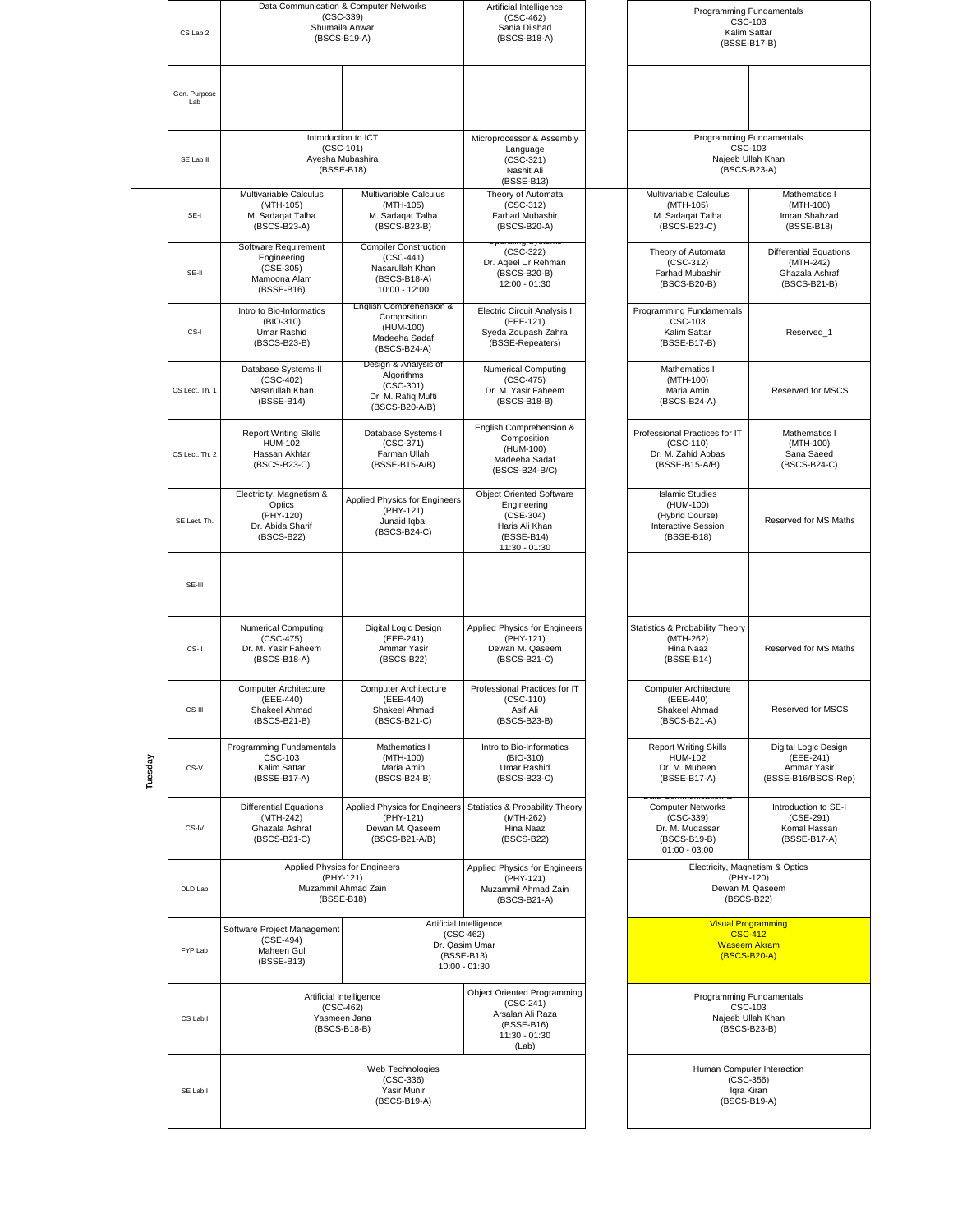|         | CS Lab 2            |                                                                                   | Data Communication & Computer Networks<br>$(CSC-339)$<br>Shumaila Anwar<br>(BSCS-B19-A)         | Artificial Intelligence<br>$(CSC-462)$<br>Sania Dilshad<br>(BSCS-B18-A)                                       | Programming Fundamentals<br>CSC-103<br>Kalim Sattar<br>(BSSE-B17-B)                           |                                                                              |
|---------|---------------------|-----------------------------------------------------------------------------------|-------------------------------------------------------------------------------------------------|---------------------------------------------------------------------------------------------------------------|-----------------------------------------------------------------------------------------------|------------------------------------------------------------------------------|
|         | Gen. Purpose<br>Lab |                                                                                   |                                                                                                 |                                                                                                               |                                                                                               |                                                                              |
|         | SE Lab II           |                                                                                   | Introduction to ICT<br>$(CSC-101)$<br>Ayesha Mubashira<br>(BSSE-B18)                            | Microprocessor & Assembly<br>Language<br>$(CSC-321)$<br>Nashit Ali<br>(BSSE-B13)                              | Programming Fundamentals<br><b>CSC-103</b><br>Najeeb Ullah Khan<br>(BSCS-B23-A)               |                                                                              |
|         | SE-I                | Multivariable Calculus<br>(MTH-105)<br>M. Sadaqat Talha<br>(BSCS-B23-A)           | Multivariable Calculus<br>(MTH-105)<br>M. Sadaqat Talha<br>(BSCS-B23-B)                         | Theory of Automata<br>$(CSC-312)$<br>Farhad Mubashir<br>(BSCS-B20-A)                                          | Multivariable Calculus<br>(MTH-105)<br>M. Sadaqat Talha<br>(BSCS-B23-C)                       | Mathematics I<br>(MTH-100)<br>Imran Shahzad<br>(BSSE-B18)                    |
|         | SE-II               | Software Requirement<br>Engineering<br>(CSE-305)<br>Mamoona Alam<br>(BSSE-B16)    | <b>Compiler Construction</b><br>$(CSC-441)$<br>Nasarullah Khan<br>(BSCS-B18-A)<br>10:00 - 12:00 | $(CSC-322)$<br>Dr. Ageel Ur Rehman<br>(BSCS-B20-B)<br>12:00 - 01:30                                           | Theory of Automata<br>$(CSC-312)$<br>Farhad Mubashir<br>(BSCS-B20-B)                          | <b>Differential Equations</b><br>(MTH-242)<br>Ghazala Ashraf<br>(BSCS-B21-B) |
|         | CS-I                | Intro to Bio-Informatics<br>(BIO-310)<br>Umar Rashid<br>(BSCS-B23-B)              | English Comprehension &<br>Composition<br>(HUM-100)<br>Madeeha Sadaf<br>(BSCS-B24-A)            | Electric Circuit Analysis I<br>(EEE-121)<br>Syeda Zoupash Zahra<br>(BSSE-Repeaters)                           | Programming Fundamentals<br>CSC-103<br>Kalim Sattar<br>(BSSE-B17-B)                           | Reserved_1                                                                   |
|         | CS Lect. Th. 1      | Database Systems-II<br>$(CSC-402)$<br>Nasarullah Khan<br>(BSSE-B14)               | Design & Analysis of<br>Algorithms<br>$(CSC-301)$<br>Dr. M. Rafiq Mufti<br>(BSCS-B20-A/B)       | <b>Numerical Computing</b><br>$(CSC-475)$<br>Dr. M. Yasir Faheem<br>(BSCS-B18-B)                              | Mathematics I<br>(MTH-100)<br>Maria Amin<br>(BSCS-B24-A)                                      | Reserved for MSCS                                                            |
|         | CS Lect. Th. 2      | <b>Report Writing Skills</b><br><b>HUM-102</b><br>Hassan Akhtar<br>(BSCS-B23-C)   | Database Systems-I<br>$(CSC-371)$<br>Farman Ullah<br>(BSSE-B15-A/B)                             | English Comprehension &<br>Composition<br>(HUM-100)<br>Madeeha Sadaf<br>(BSCS-B24-B/C)                        | Professional Practices for IT<br>$(CSC-110)$<br>Dr. M. Zahid Abbas<br>(BSSE-B15-A/B)          | Mathematics I<br>(MTH-100)<br>Sana Saeed<br>(BSCS-B24-C)                     |
|         | SE Lect. Th.        | Electricity, Magnetism &<br>Optics<br>(PHY-120)<br>Dr. Abida Sharif<br>(BSCS-B22) | Applied Physics for Engineers<br>(PHY-121)<br>Junaid Iqbal<br>(BSCS-B24-C)                      | <b>Object Oriented Software</b><br>Engineering<br>(CSE-304)<br>Haris Ali Khan<br>(BSSE-B14)<br>11:30 - 01:30  | <b>Islamic Studies</b><br>(HUM-100)<br>(Hybrid Course)<br>Interactive Session<br>(BSSE-B18)   | Reserved for MS Maths                                                        |
|         | SE-III              |                                                                                   |                                                                                                 |                                                                                                               |                                                                                               |                                                                              |
|         | CS-II               | <b>Numerical Computing</b><br>$(CSC-475)$<br>Dr. M. Yasir Faheem<br>(BSCS-B18-A)  | Digital Logic Design<br>(EEE-241)<br>Ammar Yasir<br>(BSCS-B22)                                  | Applied Physics for Engineers<br>(PHY-121)<br>Dewan M. Qaseem<br>(BSCS-B21-C)                                 | Statistics & Probability Theory<br>(MTH-262)<br>Hina Naaz<br>(BSSE-B14)                       | Reserved for MS Maths                                                        |
|         | CS-III              | <b>Computer Architecture</b><br>(EEE-440)<br>Shakeel Ahmad<br>(BSCS-B21-B)        | <b>Computer Architecture</b><br>(EEE-440)<br>Shakeel Ahmad<br>(BSCS-B21-C)                      | Professional Practices for IT<br>(CSC-110)<br>Asif Ali<br>(BSCS-B23-B)                                        | <b>Computer Architecture</b><br>(EEE-440)<br>Shakeel Ahmad<br>(BSCS-B21-A)                    | <b>Reserved for MSCS</b>                                                     |
| Tuesday | CS-V                | Programming Fundamentals<br><b>CSC-103</b><br>Kalim Sattar<br>(BSSE-B17-A)        | Mathematics I<br>(MTH-100)<br>Maria Amin<br>(BSCS-B24-B)                                        | Intro to Bio-Informatics<br>(BIO-310)<br>Umar Rashid<br>(BSCS-B23-C)                                          | <b>Report Writing Skills</b><br><b>HUM-102</b><br>Dr. M. Mubeen<br>(BSSE-B17-A)               | Digital Logic Design<br>(EEE-241)<br>Ammar Yasir<br>(BSSE-B16/BSCS-Rep)      |
|         | CS-IV               | <b>Differential Equations</b><br>(MTH-242)<br>Ghazala Ashraf<br>(BSCS-B21-C)      | Applied Physics for Engineers<br>(PHY-121)<br>Dewan M. Qaseem<br>(BSCS-B21-A/B)                 | Statistics & Probability Theory<br>(MTH-262)<br>Hina Naaz<br>(BSCS-B22)                                       | <b>Computer Networks</b><br>$(CSC-339)$<br>Dr. M. Mudassar<br>(BSCS-B19-B)<br>$01:00 - 03:00$ | Introduction to SE-I<br>$(CSE-291)$<br>Komal Hassan<br>(BSSE-B17-A)          |
|         | DLD Lab             | Applied Physics for Engineers<br>(PHY-121)<br>Muzammil Ahmad Zain<br>(BSSE-B18)   |                                                                                                 | Applied Physics for Engineers<br>(PHY-121)<br>Muzammil Ahmad Zain<br>(BSCS-B21-A)                             | Electricity, Magnetism & Optics<br>(PHY-120)<br>Dewan M. Qaseem<br>(BSCS-B22)                 |                                                                              |
|         | FYP Lab             | Software Project Management<br>(CSE-494)<br>Maheen Gul<br>(BSSE-B13)              |                                                                                                 | Artificial Intelligence<br>$(CSC-462)$<br>Dr. Qasim Umar<br>(BSSE-B13)<br>10:00 - 01:30                       | <b>Visual Programming</b><br><b>CSC-412</b><br><b>Waseem Akram</b><br>(BSCS-B20-A)            |                                                                              |
|         | CS Lab I            | Artificial Intelligence<br>$(CSC-462)$<br>Yasmeen Jana<br>(BSCS-B18-B)            |                                                                                                 | <b>Object Oriented Programming</b><br>$(CSC-241)$<br>Arsalan Ali Raza<br>(BSSE-B16)<br>11:30 - 01:30<br>(Lab) | Programming Fundamentals<br>Najeeb Ullah Khan<br>(BSCS-B23-B)                                 | CSC-103                                                                      |
|         | SE Lab I            |                                                                                   |                                                                                                 | Human Computer Interaction<br>$(CSC-356)$<br>Iqra Kiran<br>(BSCS-B19-A)                                       |                                                                                               |                                                                              |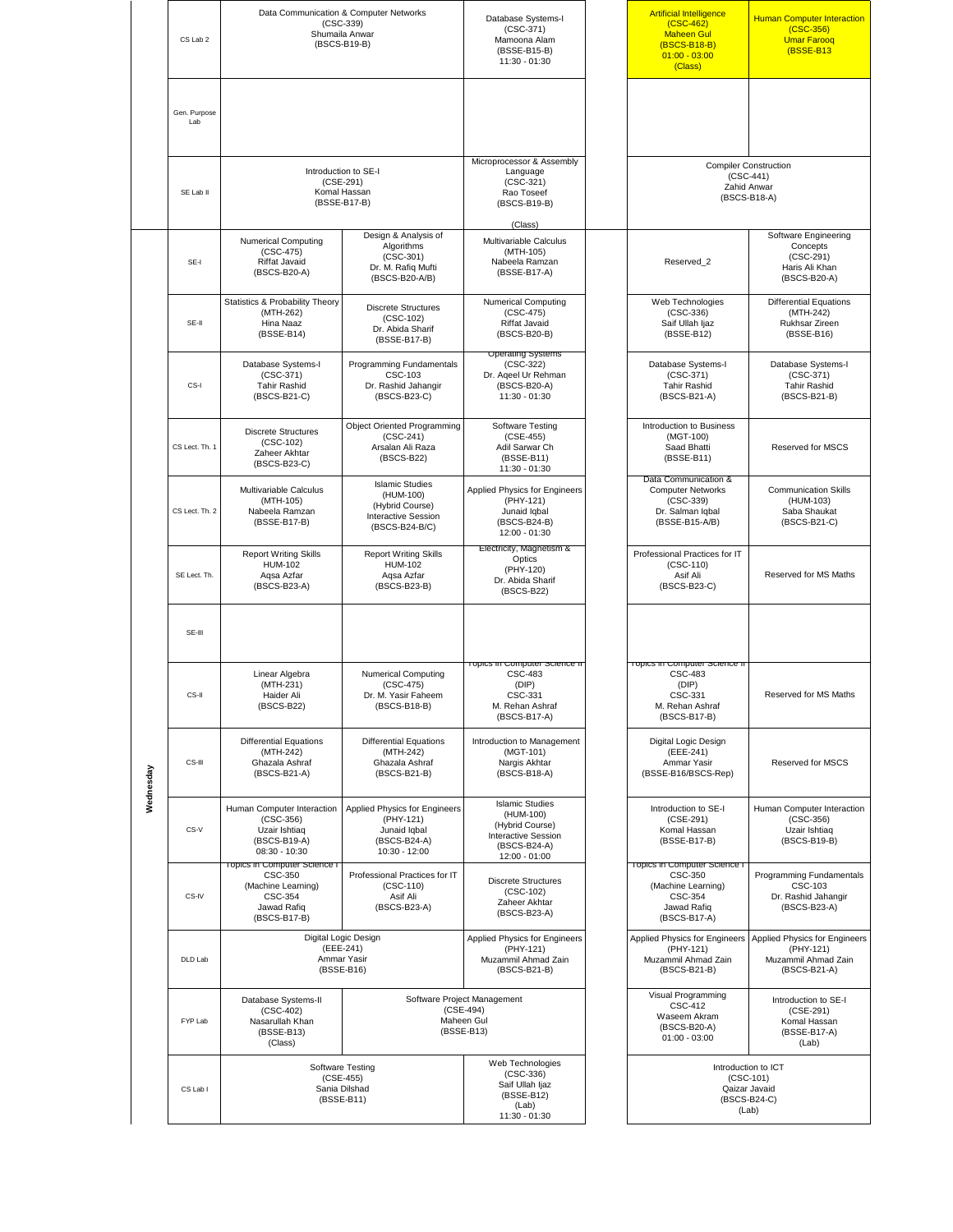|           | CS Lab 2            |                                                                                                         | Data Communication & Computer Networks<br>$(CSC-339)$<br>Shumaila Anwar<br>(BSCS-B19-B)         | Database Systems-I<br>$(CSC-371)$<br>Mamoona Alam<br>(BSSE-B15-B)<br>11:30 - 01:30                                    | <b>Artificial Intelligence</b><br>$(CSC-462)$<br><b>Maheen Gul</b><br>(BSCS-B18-B)<br>$01:00 - 03:00$<br>(Class) | <b>Human Computer Interaction</b><br>$(CSC-356)$<br><b>Umar Farooq</b><br>(BSSE-B13) |
|-----------|---------------------|---------------------------------------------------------------------------------------------------------|-------------------------------------------------------------------------------------------------|-----------------------------------------------------------------------------------------------------------------------|------------------------------------------------------------------------------------------------------------------|--------------------------------------------------------------------------------------|
|           | Gen. Purpose<br>Lab |                                                                                                         |                                                                                                 |                                                                                                                       |                                                                                                                  |                                                                                      |
|           | SE Lab II           | Introduction to SE-I<br>(CSE-291)<br>Komal Hassan<br>(BSSE-B17-B)                                       |                                                                                                 | Microprocessor & Assembly<br>Language<br>$(CSC-321)$<br>Rao Toseef<br>(BSCS-B19-B)<br>(Class)                         | <b>Compiler Construction</b><br>$(CSC-441)$<br>Zahid Anwar<br>(BSCS-B18-A)                                       |                                                                                      |
|           | SE-I                | <b>Numerical Computing</b><br>$(CSC-475)$<br>Riffat Javaid<br>(BSCS-B20-A)                              | Design & Analysis of<br>Algorithms<br>$(CSC-301)$<br>Dr. M. Rafiq Mufti<br>(BSCS-B20-A/B)       | Multivariable Calculus<br>(MTH-105)<br>Nabeela Ramzan<br>(BSSE-B17-A)                                                 | Reserved 2                                                                                                       | Software Engineering<br>Concepts<br>$(CSC-291)$<br>Haris Ali Khan<br>(BSCS-B20-A)    |
|           | SE-II               | Statistics & Probability Theory<br>(MTH-262)<br>Hina Naaz<br>(BSSE-B14)                                 | <b>Discrete Structures</b><br>$(CSC-102)$<br>Dr. Abida Sharif<br>(BSSE-B17-B)                   | <b>Numerical Computing</b><br>$(CSC-475)$<br><b>Riffat Javaid</b><br>(BSCS-B20-B)                                     | Web Technologies<br>$(CSC-336)$<br>Saif Ullah Ijaz<br>(BSSE-B12)                                                 | <b>Differential Equations</b><br>(MTH-242)<br>Rukhsar Zireen<br>(BSSE-B16)           |
|           | CS-I                | Database Systems-I<br>$(CSC-371)$<br><b>Tahir Rashid</b><br>(BSCS-B21-C)                                | Programming Fundamentals<br>CSC-103<br>Dr. Rashid Jahangir<br>(BSCS-B23-C)                      | Operating Systems<br>$(CSC-322)$<br>Dr. Ageel Ur Rehman<br>(BSCS-B20-A)<br>11:30 - 01:30                              | Database Systems-I<br>$(CSC-371)$<br><b>Tahir Rashid</b><br>(BSCS-B21-A)                                         | Database Systems-I<br>$(CSC-371)$<br><b>Tahir Rashid</b><br>(BSCS-B21-B)             |
|           | CS Lect. Th. 1      | <b>Discrete Structures</b><br>$(CSC-102)$<br>Zaheer Akhtar<br>(BSCS-B23-C)                              | <b>Object Oriented Programming</b><br>$(CSC-241)$<br>Arsalan Ali Raza<br>(BSCS-B22)             | Software Testing<br>(CSE-455)<br>Adil Sarwar Ch<br>(BSSE-B11)<br>11:30 - 01:30                                        | Introduction to Business<br>(MGT-100)<br>Saad Bhatti<br>(BSSE-B11)                                               | Reserved for MSCS                                                                    |
|           | CS Lect. Th. 2      | Multivariable Calculus<br>(MTH-105)<br>Nabeela Ramzan<br>(BSSE-B17-B)                                   | <b>Islamic Studies</b><br>(HUM-100)<br>(Hybrid Course)<br>Interactive Session<br>(BSCS-B24-B/C) | Applied Physics for Engineers<br>(PHY-121)<br>Junaid Iqbal<br>(BSCS-B24-B)<br>12:00 - 01:30                           | Data Communication &<br><b>Computer Networks</b><br>$(CSC-339)$<br>Dr. Salman Iqbal<br>(BSSE-B15-A/B)            | <b>Communication Skills</b><br>(HUM-103)<br>Saba Shaukat<br>(BSCS-B21-C)             |
|           | SE Lect. Th.        | <b>Report Writing Skills</b><br><b>HUM-102</b><br>Aqsa Azfar<br>(BSCS-B23-A)                            | <b>Report Writing Skills</b><br><b>HUM-102</b><br>Aqsa Azfar<br>(BSCS-B23-B)                    | Electricity, Magnetism &<br>Optics<br>(PHY-120)<br>Dr. Abida Sharif<br>(BSCS-B22)                                     | Professional Practices for IT<br>$(CSC-110)$<br>Asif Ali<br>(BSCS-B23-C)                                         | Reserved for MS Maths                                                                |
|           | SE-III              |                                                                                                         |                                                                                                 |                                                                                                                       |                                                                                                                  |                                                                                      |
|           | CS-II               | Linear Algebra<br>(MTH-231)<br>Haider Ali<br>(BSCS-B22)                                                 | <b>Numerical Computing</b><br>$(CSC-475)$<br>Dr. M. Yasir Faheem<br>(BSCS-B18-B)                | Topics in Computer Science ii<br><b>CSC-483</b><br>(DIP)<br>CSC-331<br>M. Rehan Ashraf<br>(BSCS-B17-A)                | Topics in Computer Science ii<br><b>CSC-483</b><br>(DIP)<br>CSC-331<br>M. Rehan Ashraf<br>(BSCS-B17-B)           | Reserved for MS Maths                                                                |
| Wednesday | CS-III              | <b>Differential Equations</b><br>(MTH-242)<br>Ghazala Ashraf<br>(BSCS-B21-A)                            | <b>Differential Equations</b><br>(MTH-242)<br>Ghazala Ashraf<br>(BSCS-B21-B)                    | Introduction to Management<br>(MGT-101)<br>Nargis Akhtar<br>(BSCS-B18-A)                                              | Digital Logic Design<br>(EEE-241)<br>Ammar Yasir<br>(BSSE-B16/BSCS-Rep)                                          | <b>Reserved for MSCS</b>                                                             |
|           | CS-V                | Human Computer Interaction<br>$(CSC-356)$<br>Uzair Ishtiag<br>(BSCS-B19-A)<br>$08:30 - 10:30$           | Applied Physics for Engineers<br>(PHY-121)<br>Junaid Iqbal<br>(BSCS-B24-A)<br>10:30 - 12:00     | <b>Islamic Studies</b><br>(HUM-100)<br>(Hybrid Course)<br><b>Interactive Session</b><br>(BSCS-B24-A)<br>12:00 - 01:00 | Introduction to SE-I<br>(CSE-291)<br>Komal Hassan<br>(BSSE-B17-B)                                                | Human Computer Interaction<br>$(CSC-356)$<br>Uzair Ishtiaq<br>(BSCS-B19-B)           |
|           | CS-IV               | Topics in Computer Science I<br>CSC-350<br>(Machine Learning)<br>CSC-354<br>Jawad Rafiq<br>(BSCS-B17-B) | Professional Practices for IT<br>$(CSC-110)$<br>Asif Ali<br>(BSCS-B23-A)                        | <b>Discrete Structures</b><br>(CSC-102)<br>Zaheer Akhtar<br>(BSCS-B23-A)                                              | Topics in Computer Science<br><b>CSC-350</b><br>(Machine Learning)<br>CSC-354<br>Jawad Rafiq<br>(BSCS-B17-A)     | Programming Fundamentals<br>CSC-103<br>Dr. Rashid Jahangir<br>(BSCS-B23-A)           |
|           | DLD Lab             |                                                                                                         | Digital Logic Design<br>(EEE-241)<br>Ammar Yasir<br>(BSSE-B16)                                  | Applied Physics for Engineers<br>(PHY-121)<br>Muzammil Ahmad Zain<br>(BSCS-B21-B)                                     | Applied Physics for Engineers<br>(PHY-121)<br>Muzammil Ahmad Zain<br>(BSCS-B21-B)                                | Applied Physics for Engineers<br>(PHY-121)<br>Muzammil Ahmad Zain<br>(BSCS-B21-A)    |
|           | FYP Lab             | Database Systems-II<br>$(CSC-402)$<br>Nasarullah Khan<br>(BSSE-B13)<br>(Class)                          |                                                                                                 | Software Project Management<br>(CSE-494)<br>Maheen Gul<br>(BSSE-B13)                                                  | Visual Programming<br><b>CSC-412</b><br>Waseem Akram<br>(BSCS-B20-A)<br>$01:00 - 03:00$                          | Introduction to SE-I<br>$(CSE-291)$<br>Komal Hassan<br>(BSSE-B17-A)<br>(Lab)         |
|           | CS Lab I            | Software Testing<br>(CSE-455)<br>Sania Dilshad<br>(BSSE-B11)                                            |                                                                                                 | Web Technologies<br>$(CSC-336)$<br>Saif Ullah Ijaz<br>(BSSE-B12)<br>(Lab)<br>11:30 - 01:30                            |                                                                                                                  | Introduction to ICT<br>$(CSC-101)$<br>Qaizar Javaid<br>(BSCS-B24-C)<br>(Lab)         |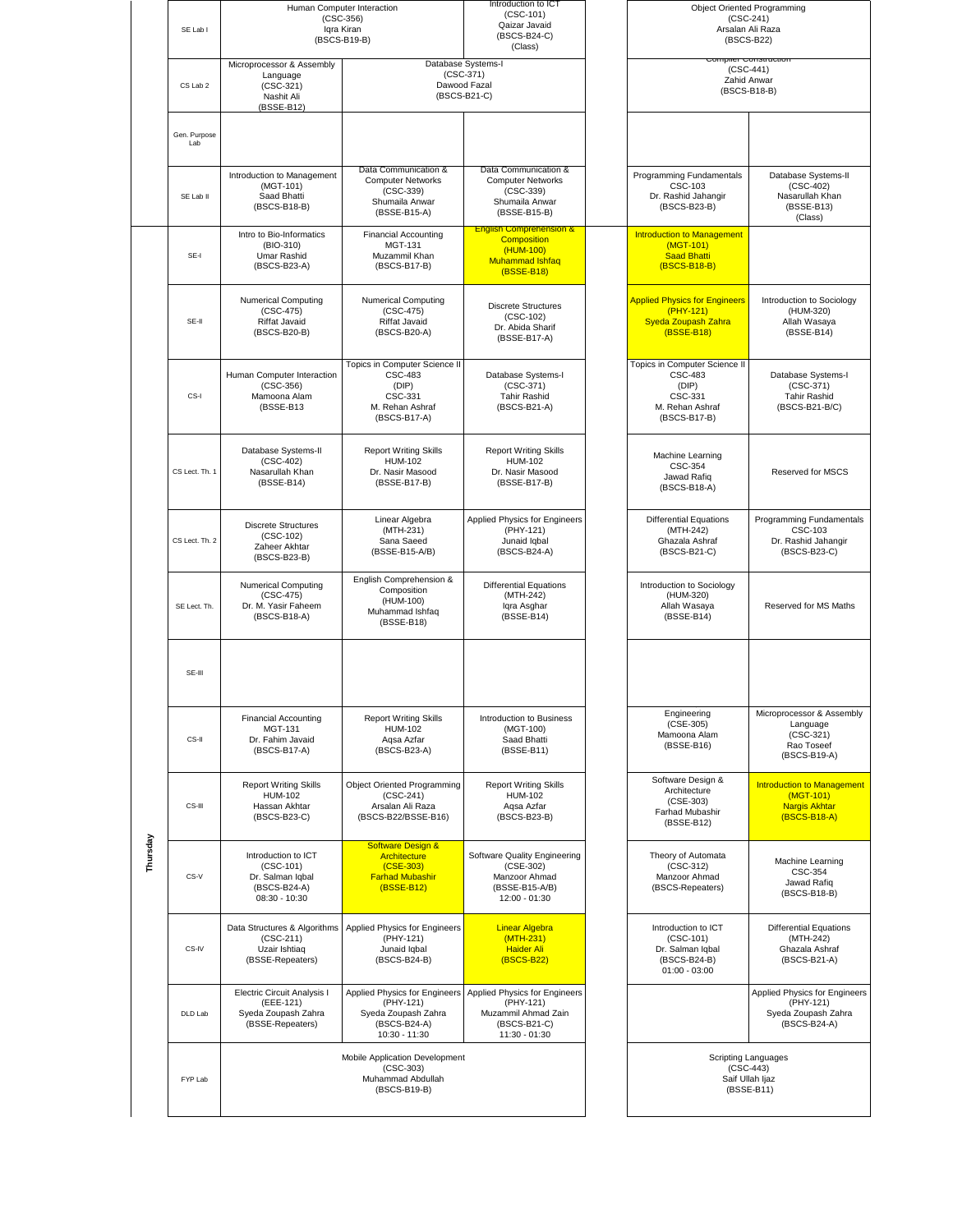|          | SE Lab I            |                                                                                         | Human Computer Interaction<br>$(CSC-356)$<br>Iqra Kiran<br>(BSCS-B19-B)                                | Introduction to ICT<br>$(CSC-101)$<br>Qaizar Javaid<br>(BSCS-B24-C)<br>(Class)                                |  |                                                                                                        | <b>Object Oriented Programming</b><br>$(CSC-241)$<br>Arsalan Ali Raza<br>(BSCS-B22)    |  |
|----------|---------------------|-----------------------------------------------------------------------------------------|--------------------------------------------------------------------------------------------------------|---------------------------------------------------------------------------------------------------------------|--|--------------------------------------------------------------------------------------------------------|----------------------------------------------------------------------------------------|--|
|          | CS Lab 2            | Microprocessor & Assembly<br>Language<br>$(CSC-321)$<br>Nashit Ali<br>(BSSE-B12)        |                                                                                                        | Database Systems-I<br>$(CSC-371)$<br>Dawood Fazal<br>(BSCS-B21-C)                                             |  | $(CSC-441)$<br>Zahid Anwar<br>(BSCS-B18-B)                                                             |                                                                                        |  |
|          | Gen. Purpose<br>Lab |                                                                                         |                                                                                                        |                                                                                                               |  |                                                                                                        |                                                                                        |  |
|          | SE Lab II           | Introduction to Management<br>(MGT-101)<br>Saad Bhatti<br>(BSCS-B18-B)                  | Data Communication &<br><b>Computer Networks</b><br>$(CSC-339)$<br>Shumaila Anwar<br>(BSSE-B15-A)      | Data Communication &<br><b>Computer Networks</b><br>$(CSC-339)$<br>Shumaila Anwar<br>(BSSE-B15-B)             |  | Programming Fundamentals<br><b>CSC-103</b><br>Dr. Rashid Jahangir<br>(BSCS-B23-B)                      | Database Systems-II<br>$(CSC-402)$<br>Nasarullah Khan<br>(BSSE-B13)<br>(Class)         |  |
|          | SE-I                | Intro to Bio-Informatics<br>(BIO-310)<br>Umar Rashid<br>(BSCS-B23-A)                    | <b>Financial Accounting</b><br><b>MGT-131</b><br>Muzammil Khan<br>(BSCS-B17-B)                         | <b>English Comprehension &amp;</b><br><b>Composition</b><br>(HUM-100)<br><b>Muhammad Ishfaq</b><br>(BSSE-B18) |  | <b>Introduction to Management</b><br>(MGT-101)<br><b>Saad Bhatti</b><br>(BSCS-B18-B)                   |                                                                                        |  |
|          | SE-II               | <b>Numerical Computing</b><br>$(CSC-475)$<br><b>Riffat Javaid</b><br>(BSCS-B20-B)       | <b>Numerical Computing</b><br>$(CSC-475)$<br>Riffat Javaid<br>(BSCS-B20-A)                             | <b>Discrete Structures</b><br>$(CSC-102)$<br>Dr. Abida Sharif<br>(BSSE-B17-A)                                 |  | <b>Applied Physics for Engineers</b><br>(PHY-121)<br>Syeda Zoupash Zahra<br>(BSSE-B18)                 | Introduction to Sociology<br>(HUM-320)<br>Allah Wasaya<br>(BSSE-B14)                   |  |
|          | CS-I                | Human Computer Interaction<br>$(CSC-356)$<br>Mamoona Alam<br>(BSSE-B13                  | Topics in Computer Science II<br><b>CSC-483</b><br>(DIP)<br>CSC-331<br>M. Rehan Ashraf<br>(BSCS-B17-A) | Database Systems-I<br>$(CSC-371)$<br><b>Tahir Rashid</b><br>(BSCS-B21-A)                                      |  | Topics in Computer Science II<br><b>CSC-483</b><br>(DIP)<br>CSC-331<br>M. Rehan Ashraf<br>(BSCS-B17-B) | Database Systems-I<br>$(CSC-371)$<br><b>Tahir Rashid</b><br>(BSCS-B21-B/C)             |  |
|          | CS Lect. Th. 1      | Database Systems-II<br>$(CSC-402)$<br>Nasarullah Khan<br>(BSSE-B14)                     | <b>Report Writing Skills</b><br><b>HUM-102</b><br>Dr. Nasir Masood<br>(BSSE-B17-B)                     | <b>Report Writing Skills</b><br><b>HUM-102</b><br>Dr. Nasir Masood<br>(BSSE-B17-B)                            |  | Machine Learning<br>CSC-354<br>Jawad Rafiq<br>(BSCS-B18-A)                                             | <b>Reserved for MSCS</b>                                                               |  |
|          | CS Lect. Th. 2      | <b>Discrete Structures</b><br>$(CSC-102)$<br>Zaheer Akhtar<br>(BSCS-B23-B)              | Linear Algebra<br>(MTH-231)<br>Sana Saeed<br>(BSSE-B15-A/B)                                            | Applied Physics for Engineers<br>(PHY-121)<br>Junaid Iqbal<br>(BSCS-B24-A)                                    |  | <b>Differential Equations</b><br>(MTH-242)<br>Ghazala Ashraf<br>(BSCS-B21-C)                           | Programming Fundamentals<br>CSC-103<br>Dr. Rashid Jahangir<br>(BSCS-B23-C)             |  |
|          | SE Lect. Th.        | <b>Numerical Computing</b><br>$(CSC-475)$<br>Dr. M. Yasir Faheem<br>(BSCS-B18-A)        | English Comprehension &<br>Composition<br>(HUM-100)<br>Muhammad Ishfaq<br>(BSSE-B18)                   | <b>Differential Equations</b><br>(MTH-242)<br>Igra Asghar<br>(BSSE-B14)                                       |  | Introduction to Sociology<br>(HUM-320)<br>Allah Wasava<br>(BSSE-B14)                                   | Reserved for MS Maths                                                                  |  |
|          | SE-III              |                                                                                         |                                                                                                        |                                                                                                               |  |                                                                                                        |                                                                                        |  |
|          | CS-II               | <b>Financial Accounting</b><br><b>MGT-131</b><br>Dr. Fahim Javaid<br>(BSCS-B17-A)       | <b>Report Writing Skills</b><br><b>HUM-102</b><br>Aqsa Azfar<br>(BSCS-B23-A)                           | Introduction to Business<br>(MGT-100)<br>Saad Bhatti<br>(BSSE-B11)                                            |  | Engineering<br>$(CSE-305)$<br>Mamoona Alam<br>(BSSE-B16)                                               | Microprocessor & Assembly<br>Language<br>$(CSC-321)$<br>Rao Toseef<br>(BSCS-B19-A)     |  |
|          | CS-III              | <b>Report Writing Skills</b><br><b>HUM-102</b><br>Hassan Akhtar<br>(BSCS-B23-C)         | <b>Object Oriented Programming</b><br>$(CSC-241)$<br>Arsalan Ali Raza<br>(BSCS-B22/BSSE-B16)           | <b>Report Writing Skills</b><br><b>HUM-102</b><br>Aqsa Azfar<br>(BSCS-B23-B)                                  |  | Software Design &<br>Architecture<br>$(CSE-303)$<br>Farhad Mubashir<br>(BSSE-B12)                      | <b>Introduction to Management</b><br>(MGT-101)<br><b>Nargis Akhtar</b><br>(BSCS-B18-A) |  |
| Thursday | CS-V                | Introduction to ICT<br>$(CSC-101)$<br>Dr. Salman Iqbal<br>(BSCS-B24-A)<br>08:30 - 10:30 | <b>Software Design &amp;</b><br>Architecture<br>$(CSE-303)$<br><b>Farhad Mubashir</b><br>(BSSE-B12)    | Software Quality Engineering<br>(CSE-302)<br>Manzoor Ahmad<br>(BSSE-B15-A/B)<br>12:00 - 01:30                 |  | Theory of Automata<br>$(CSC-312)$<br>Manzoor Ahmad<br>(BSCS-Repeaters)                                 | Machine Learning<br>CSC-354<br>Jawad Rafiq<br>(BSCS-B18-B)                             |  |
|          | CS-IV               | Data Structures & Algorithms<br>$(CSC-211)$<br>Uzair Ishtiaq<br>(BSSE-Repeaters)        | Applied Physics for Engineers<br>(PHY-121)<br>Junaid Iqbal<br>(BSCS-B24-B)                             | <b>Linear Algebra</b><br>$(MTH-231)$<br><b>Haider Ali</b><br>(BSCS-B22)                                       |  | Introduction to ICT<br>$(CSC-101)$<br>Dr. Salman Iqbal<br>(BSCS-B24-B)<br>$01:00 - 03:00$              | <b>Differential Equations</b><br>(MTH-242)<br>Ghazala Ashraf<br>(BSCS-B21-A)           |  |
|          | DLD Lab             | Electric Circuit Analysis I<br>(EEE-121)<br>Syeda Zoupash Zahra<br>(BSSE-Repeaters)     | Applied Physics for Engineers<br>(PHY-121)<br>Syeda Zoupash Zahra<br>(BSCS-B24-A)<br>10:30 - 11:30     | Applied Physics for Engineers<br>(PHY-121)<br>Muzammil Ahmad Zain<br>(BSCS-B21-C)<br>11:30 - 01:30            |  |                                                                                                        | Applied Physics for Engineers<br>(PHY-121)<br>Syeda Zoupash Zahra<br>(BSCS-B24-A)      |  |
|          | FYP Lab             | Mobile Application Development<br>$(CSC-303)$<br>Muhammad Abdullah<br>(BSCS-B19-B)      |                                                                                                        |                                                                                                               |  |                                                                                                        | <b>Scripting Languages</b><br>$(CSC-443)$<br>Saif Ullah Ijaz<br>(BSSE-B11)             |  |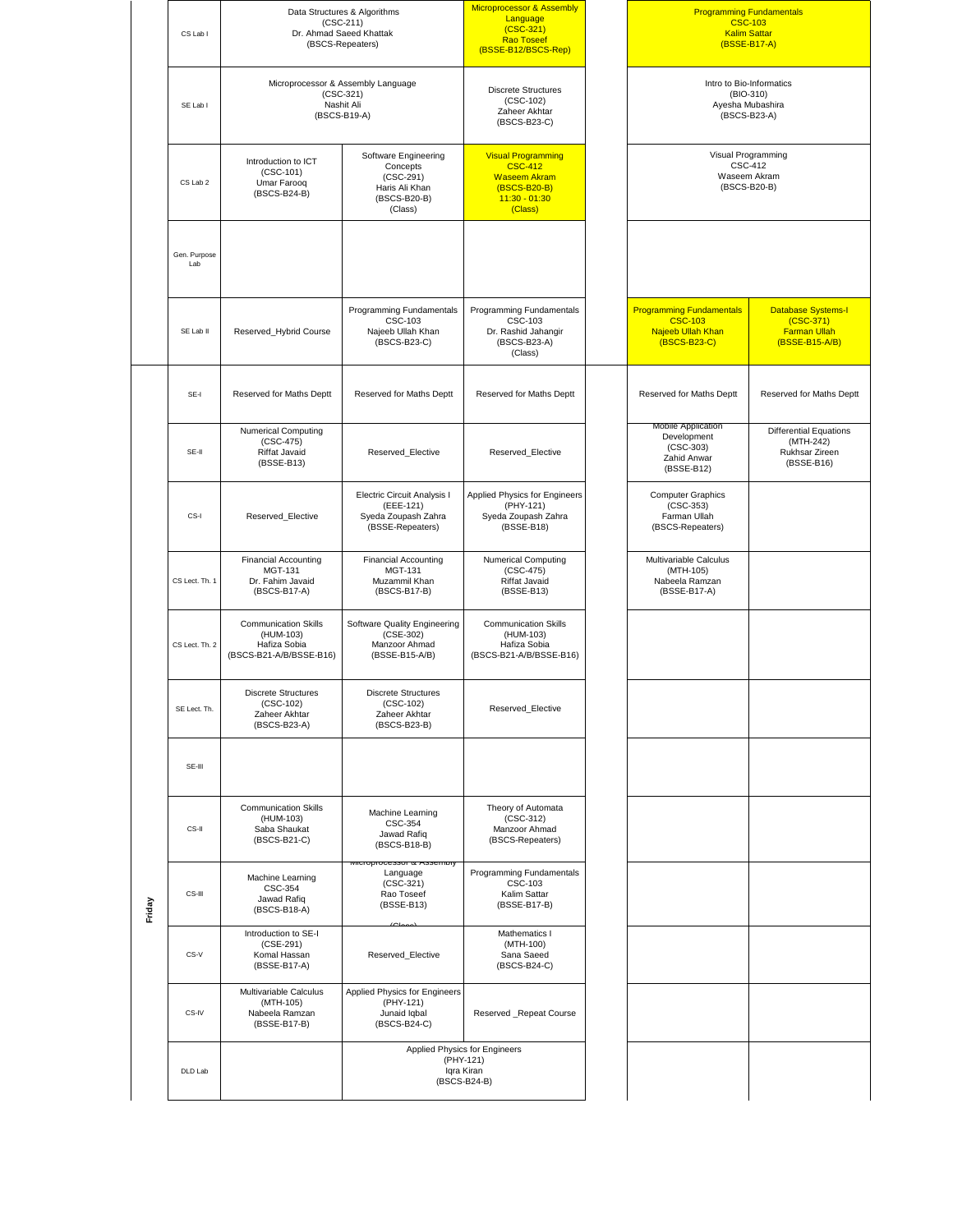|        |                     |                                                                                     | Data Structures & Algorithms                                                                 | Microprocessor & Assembly<br>Language                                                                            |                                                                                        | <b>Programming Fundamentals</b>                                                   |  |
|--------|---------------------|-------------------------------------------------------------------------------------|----------------------------------------------------------------------------------------------|------------------------------------------------------------------------------------------------------------------|----------------------------------------------------------------------------------------|-----------------------------------------------------------------------------------|--|
|        | CS Lab I            |                                                                                     | $(CSC-211)$<br>Dr. Ahmad Saeed Khattak<br>(BSCS-Repeaters)                                   | $(CSC-321)$<br><b>Rao Toseef</b>                                                                                 |                                                                                        | <b>CSC-103</b><br><b>Kalim Sattar</b><br>(BSSE-B17-A)                             |  |
|        | SE Lab I            |                                                                                     | Microprocessor & Assembly Language<br>$(CSC-321)$<br>Nashit Ali<br>(BSCS-B19-A)              | (BSSE-B12/BSCS-Rep)<br><b>Discrete Structures</b><br>$(CSC-102)$<br>Zaheer Akhtar<br>(BSCS-B23-C)                |                                                                                        | Intro to Bio-Informatics<br>(BIO-310)<br>Ayesha Mubashira<br>(BSCS-B23-A)         |  |
|        | CS Lab 2            | Introduction to ICT<br>$(CSC-101)$<br>Umar Farooq<br>(BSCS-B24-B)                   | Software Engineering<br>Concepts<br>$(CSC-291)$<br>Haris Ali Khan<br>(BSCS-B20-B)<br>(Class) | <b>Visual Programming</b><br><b>CSC-412</b><br><b>Waseem Akram</b><br>(BSCS-B20-B)<br>$11:30 - 01:30$<br>(Class) |                                                                                        | Visual Programming<br><b>CSC-412</b><br>Waseem Akram<br>(BSCS-B20-B)              |  |
|        | Gen. Purpose<br>Lab |                                                                                     |                                                                                              |                                                                                                                  |                                                                                        |                                                                                   |  |
|        | SE Lab II           | Reserved_Hybrid Course                                                              | Programming Fundamentals<br>CSC-103<br>Najeeb Ullah Khan<br>(BSCS-B23-C)                     | Programming Fundamentals<br>CSC-103<br>Dr. Rashid Jahangir<br>(BSCS-B23-A)<br>(Class)                            | <b>Programming Fundamentals</b><br><b>CSC-103</b><br>Najeeb Ullah Khan<br>(BSCS-B23-C) | <b>Database Systems-I</b><br>$(CSC-371)$<br><b>Farman Ullah</b><br>(BSSE-B15-A/B) |  |
|        | SE-I                | Reserved for Maths Deptt                                                            | Reserved for Maths Deptt                                                                     | Reserved for Maths Deptt                                                                                         | Reserved for Maths Deptt                                                               | Reserved for Maths Deptt                                                          |  |
|        | SE-II               | <b>Numerical Computing</b><br>$(CSC-475)$<br>Riffat Javaid<br>(BSSE-B13)            | Reserved_Elective                                                                            | Reserved_Elective                                                                                                | Mobile Application<br>Development<br>$(CSC-303)$<br>Zahid Anwar<br>(BSSE-B12)          | <b>Differential Equations</b><br>(MTH-242)<br>Rukhsar Zireen<br>(BSSE-B16)        |  |
|        | CS-I                | Reserved Elective                                                                   | Electric Circuit Analysis I<br>(EEE-121)<br>Syeda Zoupash Zahra<br>(BSSE-Repeaters)          | Applied Physics for Engineers<br>(PHY-121)<br>Syeda Zoupash Zahra<br>(BSSE-B18)                                  | <b>Computer Graphics</b><br>$(CSC-353)$<br>Farman Ullah<br>(BSCS-Repeaters)            |                                                                                   |  |
|        | CS Lect. Th. 1      | <b>Financial Accounting</b><br><b>MGT-131</b><br>Dr. Fahim Javaid<br>(BSCS-B17-A)   | <b>Financial Accounting</b><br><b>MGT-131</b><br>Muzammil Khan<br>(BSCS-B17-B)               | <b>Numerical Computing</b><br>$(CSC-475)$<br>Riffat Javaid<br>(BSSE-B13)                                         | Multivariable Calculus<br>(MTH-105)<br>Nabeela Ramzan<br>(BSSE-B17-A)                  |                                                                                   |  |
|        | CS Lect. Th. 2      | <b>Communication Skills</b><br>(HUM-103)<br>Hafiza Sobia<br>(BSCS-B21-A/B/BSSE-B16) | Software Quality Engineering<br>(CSE-302)<br>Manzoor Ahmad<br>(BSSE-B15-A/B)                 | <b>Communication Skills</b><br>(HUM-103)<br>Hafiza Sobia<br>(BSCS-B21-A/B/BSSE-B16)                              |                                                                                        |                                                                                   |  |
|        | SE Lect. Th.        | <b>Discrete Structures</b><br>$(CSC-102)$<br>Zaheer Akhtar<br>(BSCS-B23-A)          | <b>Discrete Structures</b><br>$(CSC-102)$<br>Zaheer Akhtar<br>(BSCS-B23-B)                   | Reserved_Elective                                                                                                |                                                                                        |                                                                                   |  |
|        | SE-III              |                                                                                     |                                                                                              |                                                                                                                  |                                                                                        |                                                                                   |  |
|        | CS-II               | <b>Communication Skills</b><br>(HUM-103)<br>Saba Shaukat<br>(BSCS-B21-C)            | Machine Learning<br>CSC-354<br>Jawad Rafiq<br>(BSCS-B18-B)<br>iiuiupiuuessui α Asseimuij     | Theory of Automata<br>$(CSC-312)$<br>Manzoor Ahmad<br>(BSCS-Repeaters)                                           |                                                                                        |                                                                                   |  |
| Friday | CS-III              | Machine Learning<br>CSC-354<br>Jawad Rafiq<br>(BSCS-B18-A)                          | Language<br>$(CSC-321)$<br>Rao Toseef<br>(BSSE-B13)                                          | Programming Fundamentals<br>CSC-103<br>Kalim Sattar<br>(BSSE-B17-B)                                              |                                                                                        |                                                                                   |  |
|        | CS-V                | Introduction to SE-I<br>$(CSE-291)$<br>Komal Hassan<br>(BSSE-B17-A)                 | Reserved_Elective                                                                            | Mathematics I<br>(MTH-100)<br>Sana Saeed<br>(BSCS-B24-C)                                                         |                                                                                        |                                                                                   |  |
|        | CS-IV               | Multivariable Calculus<br>(MTH-105)<br>Nabeela Ramzan<br>(BSSE-B17-B)               | <b>Applied Physics for Engineers</b><br>(PHY-121)<br>Junaid Iqbal<br>(BSCS-B24-C)            | Reserved_Repeat Course                                                                                           |                                                                                        |                                                                                   |  |
|        | DLD Lab             |                                                                                     |                                                                                              | Applied Physics for Engineers<br>(PHY-121)<br>Iqra Kiran<br>(BSCS-B24-B)                                         |                                                                                        |                                                                                   |  |